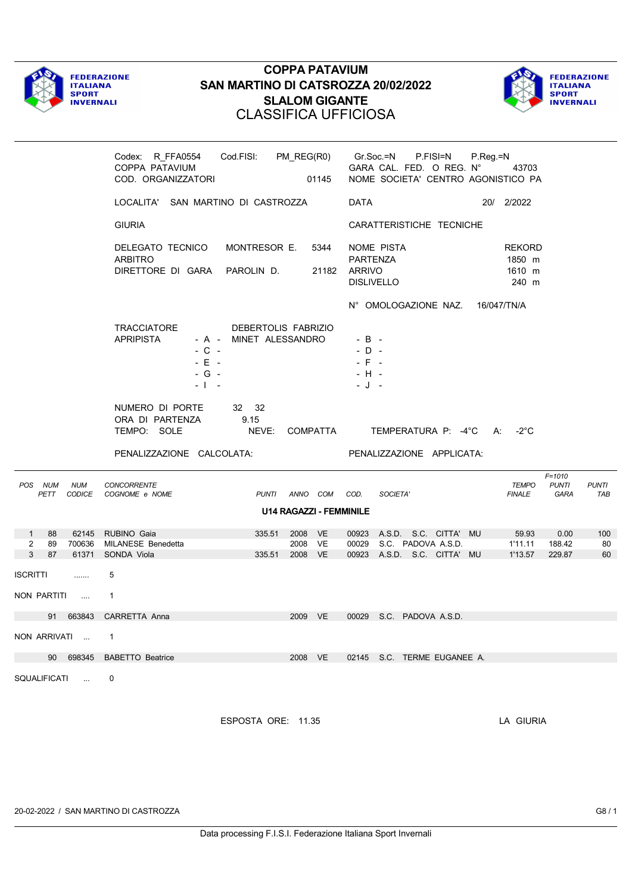



|                                                 |                    | Codex: R_FFA0554 Cod.FISI: PM_REG(R0)<br>COPPA PATAVIUM<br>COD. ORGANIZZATORI |                                               |                               | 01145                          |                                                      | Gr.Soc.=N P.FISI=N<br>GARA CAL. FED. O REG. N°<br>NOME SOCIETA' CENTRO AGONISTICO PA   | P.Reg.=N | 43703                               |                                    |                     |
|-------------------------------------------------|--------------------|-------------------------------------------------------------------------------|-----------------------------------------------|-------------------------------|--------------------------------|------------------------------------------------------|----------------------------------------------------------------------------------------|----------|-------------------------------------|------------------------------------|---------------------|
|                                                 |                    | LOCALITA' SAN MARTINO DI CASTROZZA                                            |                                               |                               |                                | <b>DATA</b>                                          |                                                                                        |          | 20/ 2/2022                          |                                    |                     |
|                                                 |                    | <b>GIURIA</b>                                                                 |                                               |                               |                                |                                                      | CARATTERISTICHE TECNICHE                                                               |          |                                     |                                    |                     |
|                                                 |                    | DELEGATO TECNICO<br><b>ARBITRO</b><br>DIRETTORE DI GARA PAROLIN D.            | MONTRESOR E.                                  |                               | 5344                           | <b>PARTENZA</b><br>21182 ARRIVO<br><b>DISLIVELLO</b> | NOME PISTA                                                                             |          | REKORD<br>1850 m<br>1610 m<br>240 m |                                    |                     |
|                                                 |                    |                                                                               |                                               |                               |                                |                                                      | N° OMOLOGAZIONE NAZ. 16/047/TN/A                                                       |          |                                     |                                    |                     |
|                                                 |                    | TRACCIATORE<br><b>APRIPISTA</b><br>$-$ C $-$<br>$-E$ $-$<br>$-G -$<br>- 1 -   | DEBERTOLIS FABRIZIO<br>- A - MINET ALESSANDRO |                               |                                | $-B -$<br>$-D -$<br>$-$ F $-$<br>$-H -$<br>- J -     |                                                                                        |          |                                     |                                    |                     |
|                                                 |                    | NUMERO DI PORTE<br>ORA DI PARTENZA<br>TEMPO: SOLE                             | 32 32<br>9.15<br>NEVE:                        |                               | COMPATTA                       |                                                      | TEMPERATURA P: -4°C A:                                                                 |          | -2°C                                |                                    |                     |
|                                                 |                    | PENALIZZAZIONE CALCOLATA:                                                     |                                               |                               |                                |                                                      | PENALIZZAZIONE APPLICATA:                                                              |          |                                     |                                    |                     |
| POS NUM<br>PETT                                 | <b>NUM</b>         | <b>CONCORRENTE</b><br>CODICE COGNOME e NOME                                   | PUNTI ANNO COM COD.                           |                               |                                |                                                      | SOCIETA'                                                                               |          | TEMPO<br><b>FINALE</b>              | $F = 1010$<br><b>PUNTI</b><br>GARA | <b>PUNTI</b><br>TAB |
|                                                 |                    |                                                                               |                                               |                               | <b>U14 RAGAZZI - FEMMINILE</b> |                                                      |                                                                                        |          |                                     |                                    |                     |
| 88<br>$1 \quad$<br>$\overline{2}$<br>89<br>3 87 | 700636             | 62145 RUBINO Gaia<br>MILANESE Benedetta<br>61371 SONDA Viola                  | 335.51<br>335.51                              | 2008 VE<br>2008 VE<br>2008 VE |                                |                                                      | 00923 A.S.D. S.C. CITTA' MU<br>00029 S.C. PADOVA A.S.D.<br>00923 A.S.D. S.C. CITTA' MU |          | 59.93<br>1'11.11<br>1'13.57         | 0.00<br>188.42<br>229.87           | 100<br>80<br>60     |
| ISCRITTI                                        | .                  | 5                                                                             |                                               |                               |                                |                                                      |                                                                                        |          |                                     |                                    |                     |
| NON PARTITI                                     | $\sim$ 1000 $\sim$ | $\mathbf{1}$                                                                  |                                               |                               |                                |                                                      |                                                                                        |          |                                     |                                    |                     |
| 91                                              | 663843             | CARRETTA Anna                                                                 |                                               | 2009 VE                       |                                |                                                      | 00029 S.C. PADOVA A.S.D.                                                               |          |                                     |                                    |                     |
| NON ARRIVATI                                    |                    | -1                                                                            |                                               |                               |                                |                                                      |                                                                                        |          |                                     |                                    |                     |
|                                                 | 90 698345          | <b>BABETTO Beatrice</b>                                                       |                                               | 2008 VE                       |                                |                                                      | 02145 S.C. TERME EUGANEE A.                                                            |          |                                     |                                    |                     |
| SQUALIFICATI                                    |                    | 0                                                                             |                                               |                               |                                |                                                      |                                                                                        |          |                                     |                                    |                     |

ESPOSTA ORE: 11.35 LA GIURIA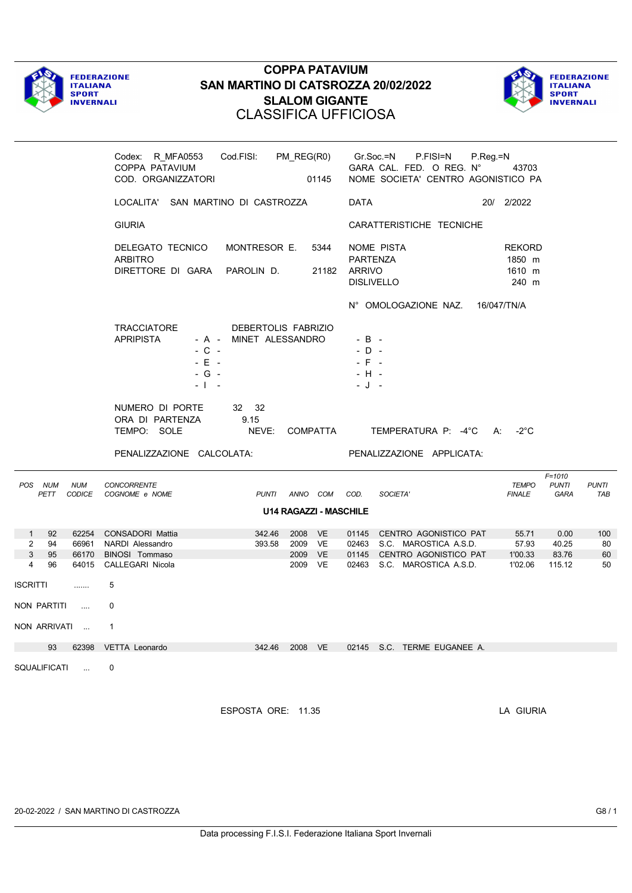



|                                                        |                      | Codex: R_MFA0553<br>COPPA PATAVIUM<br>COD. ORGANIZZATORI                 | Cod.FISI: PM_REG(R0)                          |                    | 01145         |                                                  | Gr.Soc.=N<br>P.FISI=N<br>GARA CAL. FED. O REG. N°<br>NOME SOCIETA' CENTRO AGONISTICO PA | $P_{\cdot}$ Reg $=$ N<br>43703             |                                    |                     |
|--------------------------------------------------------|----------------------|--------------------------------------------------------------------------|-----------------------------------------------|--------------------|---------------|--------------------------------------------------|-----------------------------------------------------------------------------------------|--------------------------------------------|------------------------------------|---------------------|
|                                                        |                      | LOCALITA' SAN MARTINO DI CASTROZZA                                       |                                               |                    |               | DATA                                             |                                                                                         | 20/ 2/2022                                 |                                    |                     |
|                                                        |                      | <b>GIURIA</b>                                                            |                                               |                    |               |                                                  | CARATTERISTICHE TECNICHE                                                                |                                            |                                    |                     |
|                                                        |                      | DELEGATO TECNICO<br><b>ARBITRO</b><br>DIRETTORE DI GARA PAROLIN D.       | MONTRESOR E.                                  |                    | 5344<br>21182 | <b>PARTENZA</b><br>ARRIVO<br><b>DISLIVELLO</b>   | NOME PISTA                                                                              | <b>REKORD</b><br>1850 m<br>1610 m<br>240 m |                                    |                     |
|                                                        |                      |                                                                          |                                               |                    |               |                                                  | N° OMOLOGAZIONE NAZ.                                                                    | 16/047/TN/A                                |                                    |                     |
|                                                        |                      | TRACCIATORE<br><b>APRIPISTA</b><br>$-C -$<br>$-E$ $+$<br>$-G -$<br>- 1 - | DEBERTOLIS FABRIZIO<br>- A - MINET ALESSANDRO |                    |               | $-B -$<br>$-D -$<br>$-$ F $-$<br>- H -<br>$-J -$ |                                                                                         |                                            |                                    |                     |
|                                                        |                      | NUMERO DI PORTE<br>ORA DI PARTENZA<br>TEMPO: SOLE                        | 32 32<br>9.15<br>NEVE:                        | COMPATTA           |               |                                                  | TEMPERATURA P: -4°C                                                                     | -2°C<br>A:                                 |                                    |                     |
| PENALIZZAZIONE CALCOLATA:<br>PENALIZZAZIONE APPLICATA: |                      |                                                                          |                                               |                    |               |                                                  |                                                                                         |                                            |                                    |                     |
| POS NUM<br>PETT                                        | <b>NUM</b><br>CODICE | <b>CONCORRENTE</b><br>COGNOME e NOME                                     | <b>PUNTI</b>                                  | ANNO COM           |               | COD.                                             | SOCIETA'                                                                                | <b>TEMPO</b><br><b>FINALE</b>              | $F = 1010$<br><b>PUNTI</b><br>GARA | <b>PUNTI</b><br>TAB |
| <b>U14 RAGAZZI - MASCHILE</b>                          |                      |                                                                          |                                               |                    |               |                                                  |                                                                                         |                                            |                                    |                     |
| $1 \quad$<br>92                                        |                      | 62254 CONSADORI Mattia<br>66961 NARDI Alessandro                         | 342.46<br>393.58                              | 2008 VE<br>2009 VE |               |                                                  | 01145 CENTRO AGONISTICO PAT<br>02463 S.C. MAROSTICA A.S.D.                              | 55.71<br>57.93                             | 0.00<br>40.25<br>83.76             | 100<br>80<br>60     |
| 94<br>$\overline{2}$<br>3<br>95<br>96<br>4             |                      | 66170 BINOSI Tommaso<br>64015 CALLEGARI Nicola                           |                                               | 2009 VE<br>2009 VE |               |                                                  | 01145 CENTRO AGONISTICO PAT<br>02463 S.C. MAROSTICA A.S.D.                              | 1'00.33<br>1'02.06                         | 115.12                             | 50                  |
|                                                        |                      | 5                                                                        |                                               |                    |               |                                                  |                                                                                         |                                            |                                    |                     |
|                                                        |                      | $\mathbf 0$                                                              |                                               |                    |               |                                                  |                                                                                         |                                            |                                    |                     |
|                                                        |                      | $\mathbf{1}$                                                             |                                               |                    |               |                                                  |                                                                                         |                                            |                                    |                     |
| ISCRITTI<br>NON PARTITI<br>NON ARRIVATI<br>93          | 62398                | VETTA Leonardo                                                           | 342.46 2008 VE                                |                    |               |                                                  | 02145 S.C. TERME EUGANEE A.                                                             |                                            |                                    |                     |

ESPOSTA ORE: 11.35 LA GIURIA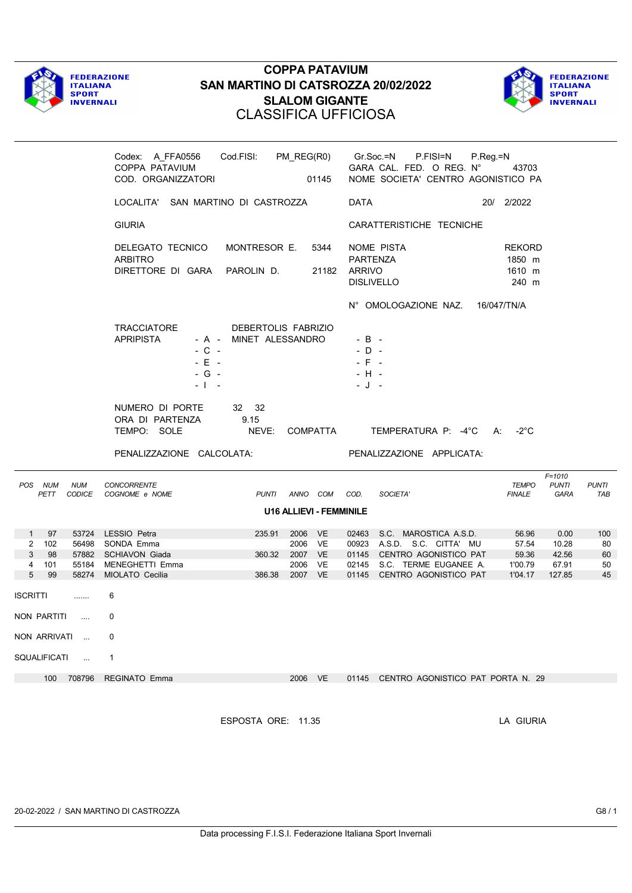



|                                                                      | Codex: A_FFA0556    Cod.FISI: PM_REG(R0)    Gr.Soc.=N    P.FISI=N<br>COPPA PATAVIUM<br>COD. ORGANIZZATORI                                      | 01145                                               |                                                      | GARA CAL. FED. O REG. N°<br>NOME SOCIETA' CENTRO AGONISTICO PA                                                                                          | P.Reg.=N<br>43703                             |                                           |                             |
|----------------------------------------------------------------------|------------------------------------------------------------------------------------------------------------------------------------------------|-----------------------------------------------------|------------------------------------------------------|---------------------------------------------------------------------------------------------------------------------------------------------------------|-----------------------------------------------|-------------------------------------------|-----------------------------|
|                                                                      | LOCALITA' SAN MARTINO DI CASTROZZA                                                                                                             |                                                     | DATA                                                 |                                                                                                                                                         | 20/ 2/2022                                    |                                           |                             |
|                                                                      | <b>GIURIA</b>                                                                                                                                  |                                                     |                                                      | CARATTERISTICHE TECNICHE                                                                                                                                |                                               |                                           |                             |
|                                                                      | DELEGATO TECNICO<br>MONTRESOR E.<br><b>ARBITRO</b><br>DIRETTORE DI GARA PAROLIN D.                                                             | 5344                                                | <b>PARTENZA</b><br>21182 ARRIVO<br><b>DISLIVELLO</b> | NOME PISTA<br>N° OMOLOGAZIONE NAZ. 16/047/TN/A                                                                                                          | <b>REKORD</b><br>1850 m<br>1610 m<br>240 m    |                                           |                             |
|                                                                      | TRACCIATORE<br>DEBERTOLIS FABRIZIO<br><b>APRIPISTA</b><br>- A - MINET ALESSANDRO<br>$-$ C $-$<br>$-E$ $-$<br>$-G -$<br>$-1 - -$                |                                                     | $-B -$<br>$-D -$<br>$-$ F $-$<br>$-H -$<br>- J -     |                                                                                                                                                         |                                               |                                           |                             |
|                                                                      | NUMERO DI PORTE<br>32 32<br>9.15<br>ORA DI PARTENZA<br>TEMPO: SOLE                                                                             |                                                     |                                                      | NEVE: COMPATTA TEMPERATURA P: -4°C A: -2°C                                                                                                              |                                               |                                           |                             |
|                                                                      |                                                                                                                                                |                                                     |                                                      |                                                                                                                                                         |                                               |                                           |                             |
|                                                                      | PENALIZZAZIONE CALCOLATA:                                                                                                                      |                                                     |                                                      | PENALIZZAZIONE APPLICATA:                                                                                                                               |                                               |                                           |                             |
| <b>NUM</b><br>POS NUM<br>PETT<br>CODICE                              | <b>CONCORRENTE</b><br>COGNOME e NOME                                                                                                           | PUNTI ANNO COM COD.                                 |                                                      | SOCIETA'                                                                                                                                                | <b>TEMPO</b><br><b>FINALE</b>                 | $F = 1010$<br><b>PUNTI</b><br>GARA        | PUNTI<br>TAB                |
|                                                                      |                                                                                                                                                | <b>U16 ALLIEVI - FEMMINILE</b>                      |                                                      |                                                                                                                                                         |                                               |                                           |                             |
| $1 \quad$<br>97<br>2 102<br>3 <sup>1</sup><br>98<br>4<br>101<br>5 99 | 53724 LESSIO Petra<br>235.91<br>56498 SONDA Emma<br>57882 SCHIAVON Giada<br>360.32<br>55184 MENEGHETTI Emma<br>58274 MIOLATO Cecilia<br>386.38 | 2006 VE<br>2006 VE<br>2007 VE<br>2006 VE<br>2007 VE |                                                      | 02463 S.C. MAROSTICA A.S.D.<br>00923 A.S.D. S.C. CITTA' MU<br>01145 CENTRO AGONISTICO PAT<br>02145 S.C. TERME EUGANEE A.<br>01145 CENTRO AGONISTICO PAT | 56.96<br>57.54<br>59.36<br>1'00.79<br>1'04.17 | 0.00<br>10.28<br>42.56<br>67.91<br>127.85 | 100<br>80<br>60<br>50<br>45 |
| <b>ISCRITTI</b><br>                                                  | 6                                                                                                                                              |                                                     |                                                      |                                                                                                                                                         |                                               |                                           |                             |
| NON PARTITI<br><b>Contractor</b>                                     | $\mathbf{0}$                                                                                                                                   |                                                     |                                                      |                                                                                                                                                         |                                               |                                           |                             |
| NON ARRIVATI                                                         | 0                                                                                                                                              |                                                     |                                                      |                                                                                                                                                         |                                               |                                           |                             |
| SQUALIFICATI<br>$\sim$ $\sim$                                        | -1                                                                                                                                             |                                                     |                                                      |                                                                                                                                                         |                                               |                                           |                             |
|                                                                      | 100 708796 REGINATO Emma                                                                                                                       | 2006 VE                                             |                                                      | 01145 CENTRO AGONISTICO PAT PORTA N. 29                                                                                                                 |                                               |                                           |                             |

ESPOSTA ORE: 11.35 LA GIURIA

20-02-2022 / SAN MARTINO DI CASTROZZA G8 / 1